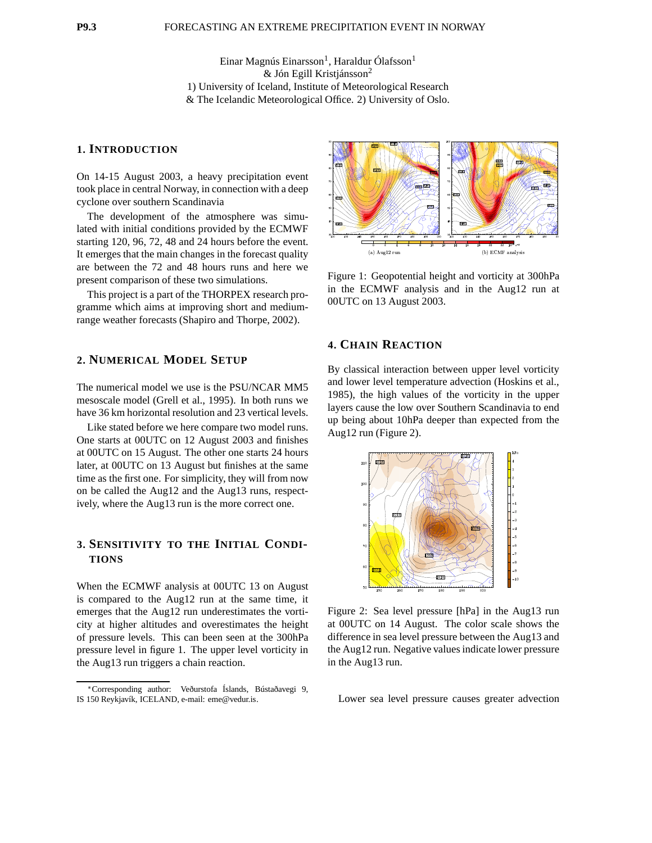Einar Magnús Einarsson<sup>1</sup>, Haraldur Ólafsson<sup>1</sup>  $&$  Jón Egill Kristjánsson<sup>2</sup> 1) University of Iceland, Institute of Meteorological Research & The Icelandic Meteorological Office. 2) University of Oslo.

#### **1. INTRODUCTION**

On 14-15 August 2003, a heavy precipitation event took place in central Norway, in connection with a deep cyclone over southern Scandinavia

The development of the atmosphere was simulated with initial conditions provided by the ECMWF starting 120, 96, 72, 48 and 24 hours before the event. It emerges that the main changes in the forecast quality are between the 72 and 48 hours runs and here we present comparison of these two simulations.

This project is a part of the THORPEX research programme which aims at improving short and mediumrange weather forecasts (Shapiro and Thorpe, 2002).

### **2. NUMERICAL MODEL SETUP**

The numerical model we use is the PSU/NCAR MM5 mesoscale model (Grell et al., 1995). In both runs we have 36 km horizontal resolution and 23 vertical levels.

Like stated before we here compare two model runs. One starts at 00UTC on 12 August 2003 and finishes at 00UTC on 15 August. The other one starts 24 hours later, at 00UTC on 13 August but finishes at the same time as the first one. For simplicity, they will from now on be called the Aug12 and the Aug13 runs, respectively, where the Aug13 run is the more correct one.

# **3. SENSITIVITY TO THE INITIAL CONDI-TIONS**

When the ECMWF analysis at 00UTC 13 on August is compared to the Aug12 run at the same time, it emerges that the Aug12 run underestimates the vorticity at higher altitudes and overestimates the height of pressure levels. This can been seen at the 300hPa pressure level in figure 1. The upper level vorticity in the Aug13 run triggers a chain reaction.



Figure 1: Geopotential height and vorticity at 300hPa in the ECMWF analysis and in the Aug12 run at 00UTC on 13 August 2003.

## **4. CHAIN REACTION**

By classical interaction between upper level vorticity and lower level temperature advection (Hoskins et al., 1985), the high values of the vorticity in the upper layers cause the low over Southern Scandinavia to end up being about 10hPa deeper than expected from the Aug12 run (Figure 2).



Figure 2: Sea level pressure [hPa] in the Aug13 run at 00UTC on 14 August. The color scale shows the difference in sea level pressure between the Aug13 and the Aug12 run. Negative values indicate lower pressure in the Aug13 run.

Lower sea level pressure causes greater advection

Corresponding author: Veðurstofa Íslands, Bústaðavegi 9, IS 150 Reykjavík, ICELAND, e-mail: eme@vedur.is.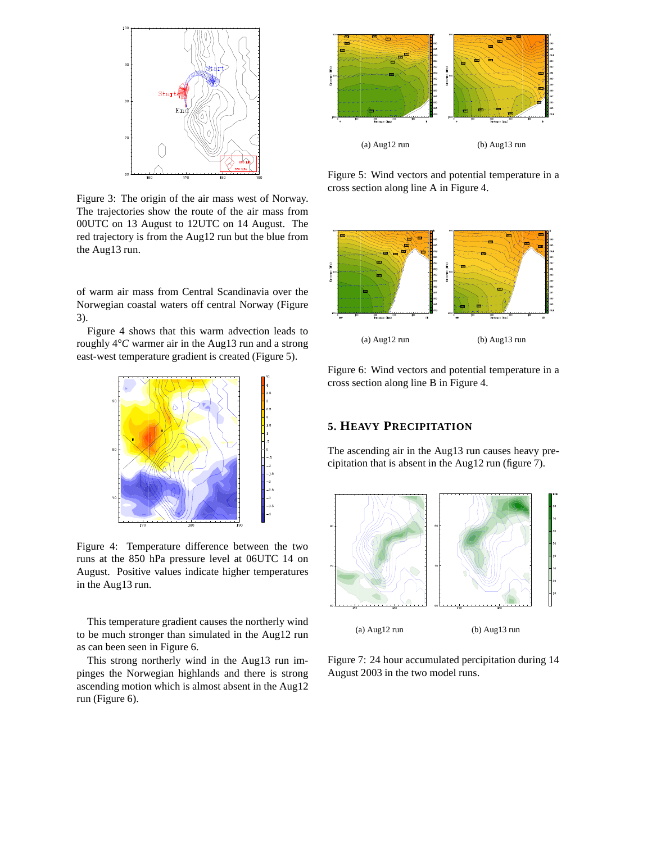

Figure 3: The origin of the air mass west of Norway. The trajectories show the route of the air mass from 00UTC on 13 August to 12UTC on 14 August. The red trajectory is from the Aug12 run but the blue from the Aug13 run.

of warm air mass from Central Scandinavia over the Norwegian coastal waters off central Norway (Figure 3).

Figure 4 shows that this warm advection leads to roughly 4 *C* warmer air in the Aug13 run and a strong east-west temperature gradient is created (Figure 5).



Figure 4: Temperature difference between the two runs at the 850 hPa pressure level at 06UTC 14 on August. Positive values indicate higher temperatures in the Aug13 run.

This temperature gradient causes the northerly wind to be much stronger than simulated in the Aug12 run as can been seen in Figure 6.

This strong northerly wind in the Aug13 run impinges the Norwegian highlands and there is strong ascending motion which is almost absent in the Aug12 run (Figure 6).



Figure 5: Wind vectors and potential temperature in a cross section along line A in Figure 4.



Figure 6: Wind vectors and potential temperature in a cross section along line B in Figure 4.

### **5. HEAVY PRECIPITATION**

The ascending air in the Aug13 run causes heavy precipitation that is absent in the Aug12 run (figure 7).



Figure 7: 24 hour accumulated percipitation during 14 August 2003 in the two model runs.